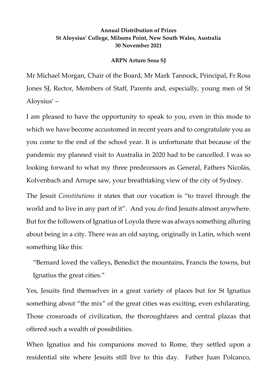## **Annual Distribution of Prizes St Aloysius' College, Milsons Point, New South Wales, Australia 30 November 2021**

## **ARPN Arturo Sosa SJ**

Mr Michael Morgan, Chair of the Board, Mr Mark Tannock, Principal, Fr Ross Jones SJ, Rector, Members of Staff, Parents and, especially, young men of St Aloysius' –

I am pleased to have the opportunity to speak to you, even in this mode to which we have become accustomed in recent years and to congratulate you as you come to the end of the school year. It is unfortunate that because of the pandemic my planned visit to Australia in 2020 had to be cancelled. I was so looking forward to what my three predecessors as General, Fathers Nicolás, Kolvenbach and Arrupe saw, your breathtaking view of the city of Sydney.

The Jesuit *Constitutions* it states that our vocation is "to travel through the world and to live in any part of it". And you *do* find Jesuits almost anywhere. But for the followers of Ignatius of Loyola there was always something alluring about being in a city. There was an old saying, originally in Latin, which went something like this:

"Bernard loved the valleys, Benedict the mountains, Francis the towns, but Ignatius the great cities."

Yes, Jesuits find themselves in a great variety of places but for St Ignatius something about "the mix" of the great cities was exciting, even exhilarating. Those crossroads of civilization, the thoroughfares and central plazas that offered such a wealth of possibilities.

When Ignatius and his companions moved to Rome, they settled upon a residential site where Jesuits still live to this day. Father Juan Polcanco,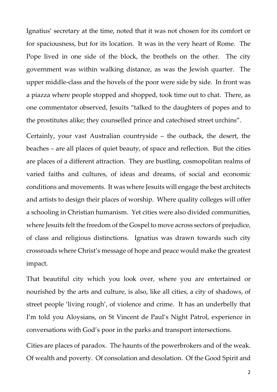Ignatius' secretary at the time, noted that it was not chosen for its comfort or for spaciousness, but for its location. It was in the very heart of Rome. The Pope lived in one side of the block, the brothels on the other. The city government was within walking distance, as was the Jewish quarter. The upper middle-class and the hovels of the poor were side by side. In front was a piazza where people stopped and shopped, took time out to chat. There, as one commentator observed, Jesuits "talked to the daughters of popes and to the prostitutes alike; they counselled prince and catechised street urchins".

Certainly, your vast Australian countryside – the outback, the desert, the beaches – are all places of quiet beauty, of space and reflection. But the cities are places of a different attraction. They are bustling, cosmopolitan realms of varied faiths and cultures, of ideas and dreams, of social and economic conditions and movements. It was where Jesuits will engage the best architects and artists to design their places of worship. Where quality colleges will offer a schooling in Christian humanism. Yet cities were also divided communities, where Jesuits felt the freedom of the Gospel to move across sectors of prejudice, of class and religious distinctions. Ignatius was drawn towards such city crossroads where Christ's message of hope and peace would make the greatest impact.

That beautiful city which you look over, where you are entertained or nourished by the arts and culture, is also, like all cities, a city of shadows, of street people 'living rough', of violence and crime. It has an underbelly that I'm told you Aloysians, on St Vincent de Paul's Night Patrol, experience in conversations with God's poor in the parks and transport intersections.

Cities are places of paradox. The haunts of the powerbrokers and of the weak. Of wealth and poverty. Of consolation and desolation. Of the Good Spirit and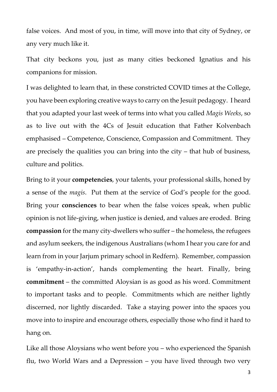false voices. And most of you, in time, will move into that city of Sydney, or any very much like it.

That city beckons you, just as many cities beckoned Ignatius and his companions for mission.

I was delighted to learn that, in these constricted COVID times at the College, you have been exploring creative ways to carry on the Jesuit pedagogy. I heard that you adapted your last week of terms into what you called *Magis Weeks*, so as to live out with the 4Cs of Jesuit education that Father Kolvenbach emphasised – Competence, Conscience, Compassion and Commitment. They are precisely the qualities you can bring into the city – that hub of business, culture and politics.

Bring to it your **competencies**, your talents, your professional skills, honed by a sense of the *magis*. Put them at the service of God's people for the good. Bring your **consciences** to bear when the false voices speak, when public opinion is not life-giving, when justice is denied, and values are eroded. Bring **compassion** for the many city-dwellers who suffer – the homeless, the refugees and asylum seekers, the indigenous Australians (whom I hear you care for and learn from in your Jarjum primary school in Redfern). Remember, compassion is 'empathy-in-action', hands complementing the heart. Finally, bring **commitment** – the committed Aloysian is as good as his word. Commitment to important tasks and to people. Commitments which are neither lightly discerned, nor lightly discarded. Take a staying power into the spaces you move into to inspire and encourage others, especially those who find it hard to hang on.

Like all those Aloysians who went before you – who experienced the Spanish flu, two World Wars and a Depression – you have lived through two very